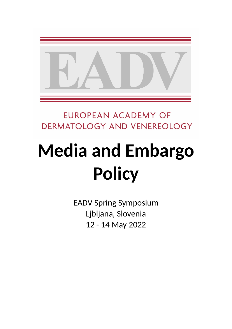

**EUROPEAN ACADEMY OF** DERMATOLOGY AND VENEREOLOGY

# **Media and Embargo Policy**

EADV Spring Symposium Ljbljana, Slovenia 12 - 14 May 2022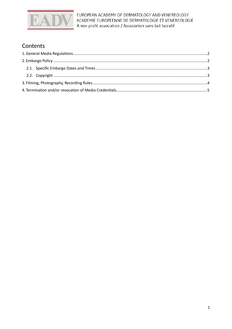

EUROPEAN ACADEMY OF DERMATOLOGY AND VENEREOLOGY ACADEMIE EUROPEENNE DE DERMATOLOGIE ET VENEREOLOGIE A non profit association / Association sans but lucratif

### Contents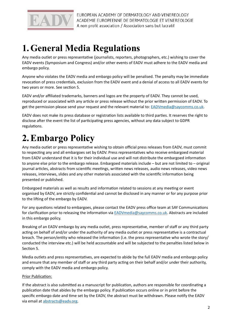

### <span id="page-2-0"></span>**1.General Media Regulations**

Any media outlet or press representative (journalists, reporters, photographers, etc.) wishing to cover the EADV events (Symposium and Congress) and/or other events of EADV must adhere to the EADV media and embargo policy.

Anyone who violates the EADV media and embargo policy will be penalised. The penalty may be immediate revocation of press credentials, exclusion from the EADV event and a denial of access to all EADV events for two years or more. See section 5.

EADV and/or affiliated trademarks, banners and logos are the property of EADV. They cannot be used, reproduced or associated with any article or press release without the prior written permission of EADV. To get the permission please send your request and the relevant material to: [EADVmedia@saycomms.co.uk](mailto:EADVmedia@saycomms.co.uk).

EADV does not make its press database or registration lists available to third parties. It reserves the right to disclose after the event the list of participating press agencies, without any data subject to GDPR regulations.

## <span id="page-2-1"></span>**2.Embargo Policy**

Any media outlet or press representative wishing to obtain official press releases from EADV, must commit to respecting any and all embargoes set by EADV. Press representatives who receive embargoed material from EADV understand that it is for their individual use and will not distribute the embargoed information to anyone else prior to the embargo release. Embargoed materials include – but are not limited to – original journal articles, abstracts from scientific meetings, written news releases, audio news releases, video news releases, interviews, slides and any other materials associated with the scientific information being presented or published.

Embargoed materials as well as results and information related to sessions at any meeting or event organised by EADV, are strictly confidential and cannot be disclosed in any manner or for any purpose prior to the lifting of the embargo by EADV.

For any questions related to embargoes, please contact the EADV press office team at SAY Communications for clarification prior to releasing the information via [EADVmedia@saycomms.co.uk](mailto:EADVmedia@saycomms.co.uk). Abstracts are included in this embargo policy.

Breaking of an EADV embargo by any media outlet, press representative, member of staff or any third party acting on behalf of and/or under the authority of any media outlet or press representative is a contractual breach. The person/entity who released the information (i.e. the press representative who wrote the story/ conducted the interview etc.) will be held accountable and will be subjected to the penalties listed below in Section 5.

Media outlets and press representatives, are expected to abide by the full EADV media and embargo policy and ensure that any member of staff or any third party acting on their behalf and/or under their authority, comply with the EADV media and embargo policy.

#### Prior Publication:

If the abstract is also submitted as a manuscript for publication, authors are responsible for coordinating a publication date that abides by the embargo policy. If publication occurs online or in print before the specific embargo date and time set by the EADV, the abstract must be withdrawn. Please notify the EADV via email at [abstracts@eadv.org.](mailto:abstracts@eadv.org)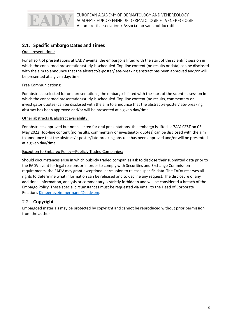

#### <span id="page-3-0"></span>**2.1. Specific Embargo Dates and Times**

#### Oral presentations:

For all sort of presentations at EADV events, the embargo is lifted with the start of the scientific session in which the concerned presentation/study is scheduled. Top-line content (no results or data) can be disclosed with the aim to announce that the abstract/e-poster/late-breaking abstract has been approved and/or will be presented at a given day/time.

#### Free Communications:

For abstracts selected for oral presentations, the embargo is lifted with the start of the scientific session in which the concerned presentation/study is scheduled. Top-line content (no results, commentary or investigator quotes) can be disclosed with the aim to announce that the abstract/e-poster/late-breaking abstract has been approved and/or will be presented at a given day/time.

#### Other abstracts & abstract availability:

For abstracts approved but not selected for oral presentations, the embargo is lifted at 7AM CEST on 05 May 2022. Top-line content (no results, commentary or investigator quotes) can be disclosed with the aim to announce that the abstract/e-poster/late-breaking abstract has been approved and/or will be presented at a given day/time.

#### Exception to Embargo Policy―Publicly Traded Companies:

Should circumstances arise in which publicly traded companies ask to disclose their submitted data prior to the EADV event for legal reasons or in order to comply with Securities and Exchange Commission requirements, the EADV may grant exceptional permission to release specific data. The EADV reserves all rights to determine what information can be released and to decline any request. The disclosure of any additional information, analysis or commentary is strictly forbidden and will be considered a breach of the Embargo Policy. These special circumstances must be requested via email to the Head of Corporate Relations [Kimberley.zimmermann@eadv.org](mailto:Kimberley.zimmermann@eadv.org).

#### <span id="page-3-1"></span>**2.2. Copyright**

Embargoed materials may be protected by copyright and cannot be reproduced without prior permission from the author.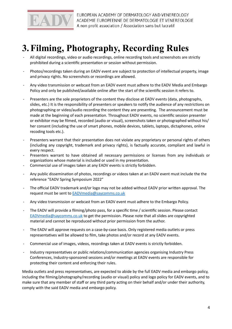

### <span id="page-4-0"></span>**3.Filming, Photography, Recording Rules**

- All digital recordings, video or audio recordings, online recording tools and screenshots are strictly prohibited during a scientific presentation or session without permission.
- Photos/recordings taken during an EADV event are subject to protection of intellectual property, image and privacy rights. No screenshots or recordings are allowed.
- Any video transmission or webcast from an EADV event must adhere to the EADV Media and Embargo Policy and only be published/available online after the start of the scientific session it refers to.
- Presenters are the sole proprietors of the content they disclose at EADV events (data, photographs, slides, etc.) It is the responsibility of presenters or speakers to notify the audience of any restrictions on photographing or video/audio recording the content they are presenting. The announcement must be made at the beginning of each presentation. Throughout EADV events, no scientific session presenter or exhibitor may be filmed, recorded (audio or visual), screenshots taken or photographed without his/ her consent (including the use of smart phones, mobile devices, tablets, laptops, dictaphones, online recoding tools etc.).
- Presenters warrant that their presentation does not violate any proprietary or personal rights of others (including any copyright, trademark and privacy rights), is factually accurate, compliant and lawful in every respect.
- Presenters warrant to have obtained all necessary permissions or licenses from any individuals or organizations whose material is included or used in my presentation.
- Commercial use of images taken at any EADV events is strictly forbidden.
- Any public dissemination of photos, recordings or videos taken at an EADV event must include the the reference "EADV Spring Symposium 2022"
- The official EADV trademark and/or logo may not be added without EADV prior written approval. The request must be sent to [EADVmedia@saycomms.co.uk](mailto:EADVmedia@saycomms.co.uk)
- Any video transmission or webcast from an EADV event must adhere to the Embargo Policy.
- The EADV will provide a filming/photo pass, for a specific time / scientific session. Please contact [EADVmedia@saycomms.co.uk](mailto:EADVmedia@saycomms.co.uk) to get the permission. Please note that all slides are copyrighted material and cannot be reproduced without prior permission from the author.
- The EADV will approve requests on a case-by-case basis. Only registered media outlets or press representatives will be allowed to film, take photos and/or record at any EADV events.
- Commercial use of images, videos, recordings taken at EADV events is strictly forbidden.
- Industry representatives or public relations/communication agencies organising Industry Press Conferences, Industry-sponsored sessions and/or meetings at EADV events are responsible for protecting their content and enforcing their rules.

Media outlets and press representatives, are expected to abide by the full EADV media and embargo policy, including the filming/photography/recording (audio or visual) policy and logo policy for EADV events, and to make sure that any member of staff or any third party acting on their behalf and/or under their authority, comply with the said EADV media and embargo policy.